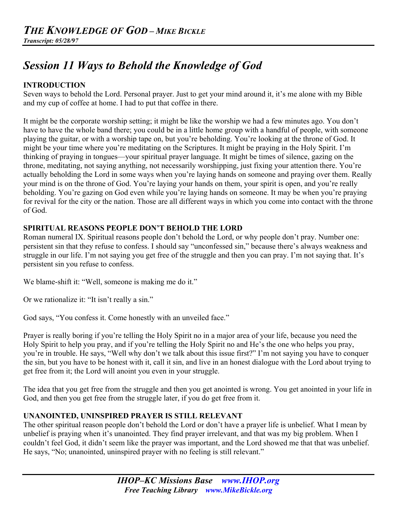# *Session 11 Ways to Behold the Knowledge of God*

### **INTRODUCTION**

Seven ways to behold the Lord. Personal prayer. Just to get your mind around it, it's me alone with my Bible and my cup of coffee at home. I had to put that coffee in there.

It might be the corporate worship setting; it might be like the worship we had a few minutes ago. You don't have to have the whole band there; you could be in a little home group with a handful of people, with someone playing the guitar, or with a worship tape on, but you're beholding. You're looking at the throne of God. It might be your time where you're meditating on the Scriptures. It might be praying in the Holy Spirit. I'm thinking of praying in tongues—your spiritual prayer language. It might be times of silence, gazing on the throne, meditating, not saying anything, not necessarily worshipping, just fixing your attention there. You're actually beholding the Lord in some ways when you're laying hands on someone and praying over them. Really your mind is on the throne of God. You're laying your hands on them, your spirit is open, and you're really beholding. You're gazing on God even while you're laying hands on someone. It may be when you're praying for revival for the city or the nation. Those are all different ways in which you come into contact with the throne of God.

#### **SPIRITUAL REASONS PEOPLE DON'T BEHOLD THE LORD**

Roman numeral IX. Spiritual reasons people don't behold the Lord, or why people don't pray. Number one: persistent sin that they refuse to confess. I should say "unconfessed sin," because there's always weakness and struggle in our life. I'm not saying you get free of the struggle and then you can pray. I'm not saying that. It's persistent sin you refuse to confess.

We blame-shift it: "Well, someone is making me do it."

Or we rationalize it: "It isn't really a sin."

God says, "You confess it. Come honestly with an unveiled face."

Prayer is really boring if you're telling the Holy Spirit no in a major area of your life, because you need the Holy Spirit to help you pray, and if you're telling the Holy Spirit no and He's the one who helps you pray, you're in trouble. He says, "Well why don't we talk about this issue first?" I'm not saying you have to conquer the sin, but you have to be honest with it, call it sin, and live in an honest dialogue with the Lord about trying to get free from it; the Lord will anoint you even in your struggle.

The idea that you get free from the struggle and then you get anointed is wrong. You get anointed in your life in God, and then you get free from the struggle later, if you do get free from it.

#### **UNANOINTED, UNINSPIRED PRAYER IS STILL RELEVANT**

The other spiritual reason people don't behold the Lord or don't have a prayer life is unbelief. What I mean by unbelief is praying when it's unanointed. They find prayer irrelevant, and that was my big problem. When I couldn't feel God, it didn't seem like the prayer was important, and the Lord showed me that that was unbelief. He says, "No; unanointed, uninspired prayer with no feeling is still relevant."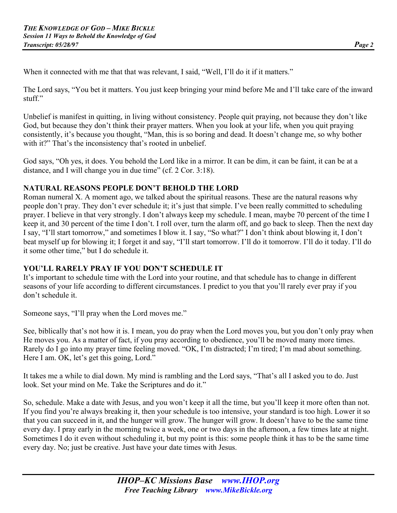When it connected with me that that was relevant, I said, "Well, I'll do it if it matters."

The Lord says, "You bet it matters. You just keep bringing your mind before Me and I'll take care of the inward stuff"

Unbelief is manifest in quitting, in living without consistency. People quit praying, not because they don't like God, but because they don't think their prayer matters. When you look at your life, when you quit praying consistently, it's because you thought, "Man, this is so boring and dead. It doesn't change me, so why bother with it?" That's the inconsistency that's rooted in unbelief.

God says, "Oh yes, it does. You behold the Lord like in a mirror. It can be dim, it can be faint, it can be at a distance, and I will change you in due time" (cf. 2 Cor. 3:18).

# **NATURAL REASONS PEOPLE DON'T BEHOLD THE LORD**

Roman numeral X. A moment ago, we talked about the spiritual reasons. These are the natural reasons why people don't pray. They don't ever schedule it; it's just that simple. I've been really committed to scheduling prayer. I believe in that very strongly. I don't always keep my schedule. I mean, maybe 70 percent of the time I keep it, and 30 percent of the time I don't. I roll over, turn the alarm off, and go back to sleep. Then the next day I say, "I'll start tomorrow," and sometimes I blow it. I say, "So what?" I don't think about blowing it, I don't beat myself up for blowing it; I forget it and say, "I'll start tomorrow. I'll do it tomorrow. I'll do it today. I'll do it some other time," but I do schedule it.

#### **YOU'LL RARELY PRAY IF YOU DON'T SCHEDULE IT**

It's important to schedule time with the Lord into your routine, and that schedule has to change in different seasons of your life according to different circumstances. I predict to you that you'll rarely ever pray if you don't schedule it.

Someone says, "I'll pray when the Lord moves me."

See, biblically that's not how it is. I mean, you do pray when the Lord moves you, but you don't only pray when He moves you. As a matter of fact, if you pray according to obedience, you'll be moved many more times. Rarely do I go into my prayer time feeling moved. "OK, I'm distracted; I'm tired; I'm mad about something. Here I am. OK, let's get this going, Lord."

It takes me a while to dial down. My mind is rambling and the Lord says, "That's all I asked you to do. Just look. Set your mind on Me. Take the Scriptures and do it."

So, schedule. Make a date with Jesus, and you won't keep it all the time, but you'll keep it more often than not. If you find you're always breaking it, then your schedule is too intensive, your standard is too high. Lower it so that you can succeed in it, and the hunger will grow. The hunger will grow. It doesn't have to be the same time every day. I pray early in the morning twice a week, one or two days in the afternoon, a few times late at night. Sometimes I do it even without scheduling it, but my point is this: some people think it has to be the same time every day. No; just be creative. Just have your date times with Jesus.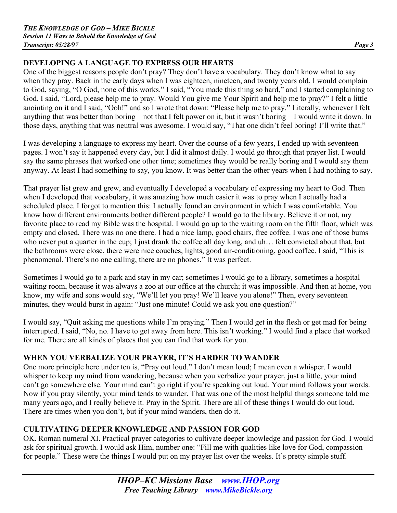#### **DEVELOPING A LANGUAGE TO EXPRESS OUR HEARTS**

One of the biggest reasons people don't pray? They don't have a vocabulary. They don't know what to say when they pray. Back in the early days when I was eighteen, nineteen, and twenty years old, I would complain to God, saying, "O God, none of this works." I said, "You made this thing so hard," and I started complaining to God. I said, "Lord, please help me to pray. Would You give me Your Spirit and help me to pray?" I felt a little anointing on it and I said, "Ooh!" and so I wrote that down: "Please help me to pray." Literally, whenever I felt anything that was better than boring—not that I felt power on it, but it wasn't boring—I would write it down. In those days, anything that was neutral was awesome. I would say, "That one didn't feel boring! I'll write that."

I was developing a language to express my heart. Over the course of a few years, I ended up with seventeen pages. I won't say it happened every day, but I did it almost daily. I would go through that prayer list. I would say the same phrases that worked one other time; sometimes they would be really boring and I would say them anyway. At least I had something to say, you know. It was better than the other years when I had nothing to say.

That prayer list grew and grew, and eventually I developed a vocabulary of expressing my heart to God. Then when I developed that vocabulary, it was amazing how much easier it was to pray when I actually had a scheduled place. I forgot to mention this: I actually found an environment in which I was comfortable. You know how different environments bother different people? I would go to the library. Believe it or not, my favorite place to read my Bible was the hospital. I would go up to the waiting room on the fifth floor, which was empty and closed. There was no one there. I had a nice lamp, good chairs, free coffee. I was one of those bums who never put a quarter in the cup; I just drank the coffee all day long, and uh… felt convicted about that, but the bathrooms were close, there were nice couches, lights, good air-conditioning, good coffee. I said, "This is phenomenal. There's no one calling, there are no phones." It was perfect.

Sometimes I would go to a park and stay in my car; sometimes I would go to a library, sometimes a hospital waiting room, because it was always a zoo at our office at the church; it was impossible. And then at home, you know, my wife and sons would say, "We'll let you pray! We'll leave you alone!" Then, every seventeen minutes, they would burst in again: "Just one minute! Could we ask you one question?"

I would say, "Quit asking me questions while I'm praying." Then I would get in the flesh or get mad for being interrupted. I said, "No, no. I have to get away from here. This isn't working." I would find a place that worked for me. There are all kinds of places that you can find that work for you.

#### **WHEN YOU VERBALIZE YOUR PRAYER, IT'S HARDER TO WANDER**

One more principle here under ten is, "Pray out loud." I don't mean loud; I mean even a whisper. I would whisper to keep my mind from wandering, because when you verbalize your prayer, just a little, your mind can't go somewhere else. Your mind can't go right if you're speaking out loud. Your mind follows your words. Now if you pray silently, your mind tends to wander. That was one of the most helpful things someone told me many years ago, and I really believe it. Pray in the Spirit. There are all of these things I would do out loud. There are times when you don't, but if your mind wanders, then do it.

#### **CULTIVATING DEEPER KNOWLEDGE AND PASSION FOR GOD**

OK. Roman numeral XI. Practical prayer categories to cultivate deeper knowledge and passion for God. I would ask for spiritual growth. I would ask Him, number one: "Fill me with qualities like love for God, compassion for people." These were the things I would put on my prayer list over the weeks. It's pretty simple stuff.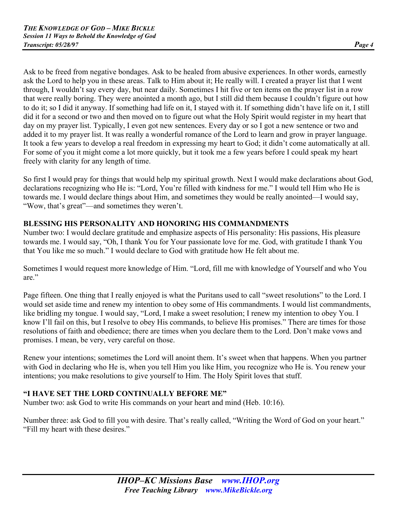Ask to be freed from negative bondages. Ask to be healed from abusive experiences. In other words, earnestly ask the Lord to help you in these areas. Talk to Him about it; He really will. I created a prayer list that I went through, I wouldn't say every day, but near daily. Sometimes I hit five or ten items on the prayer list in a row that were really boring. They were anointed a month ago, but I still did them because I couldn't figure out how to do it; so I did it anyway. If something had life on it, I stayed with it. If something didn't have life on it, I still did it for a second or two and then moved on to figure out what the Holy Spirit would register in my heart that day on my prayer list. Typically, I even got new sentences. Every day or so I got a new sentence or two and added it to my prayer list. It was really a wonderful romance of the Lord to learn and grow in prayer language. It took a few years to develop a real freedom in expressing my heart to God; it didn't come automatically at all. For some of you it might come a lot more quickly, but it took me a few years before I could speak my heart freely with clarity for any length of time.

So first I would pray for things that would help my spiritual growth. Next I would make declarations about God, declarations recognizing who He is: "Lord, You're filled with kindness for me." I would tell Him who He is towards me. I would declare things about Him, and sometimes they would be really anointed—I would say, "Wow, that's great"—and sometimes they weren't.

# **BLESSING HIS PERSONALITY AND HONORING HIS COMMANDMENTS**

Number two: I would declare gratitude and emphasize aspects of His personality: His passions, His pleasure towards me. I would say, "Oh, I thank You for Your passionate love for me. God, with gratitude I thank You that You like me so much." I would declare to God with gratitude how He felt about me.

Sometimes I would request more knowledge of Him. "Lord, fill me with knowledge of Yourself and who You are."

Page fifteen. One thing that I really enjoyed is what the Puritans used to call "sweet resolutions" to the Lord. I would set aside time and renew my intention to obey some of His commandments. I would list commandments, like bridling my tongue. I would say, "Lord, I make a sweet resolution; I renew my intention to obey You. I know I'll fail on this, but I resolve to obey His commands, to believe His promises." There are times for those resolutions of faith and obedience; there are times when you declare them to the Lord. Don't make vows and promises. I mean, be very, very careful on those.

Renew your intentions; sometimes the Lord will anoint them. It's sweet when that happens. When you partner with God in declaring who He is, when you tell Him you like Him, you recognize who He is. You renew your intentions; you make resolutions to give yourself to Him. The Holy Spirit loves that stuff.

# **"I HAVE SET THE LORD CONTINUALLY BEFORE ME"**

Number two: ask God to write His commands on your heart and mind (Heb. 10:16).

Number three: ask God to fill you with desire. That's really called, "Writing the Word of God on your heart." "Fill my heart with these desires."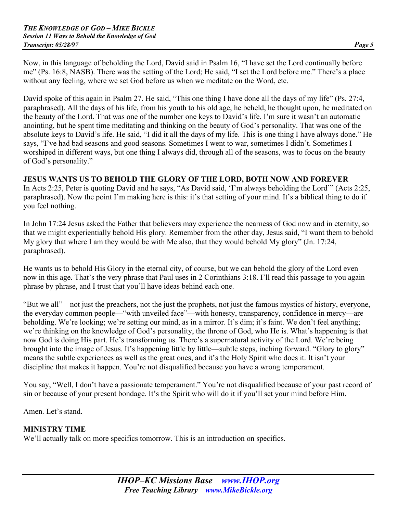Now, in this language of beholding the Lord, David said in Psalm 16, "I have set the Lord continually before me" (Ps. 16:8, NASB). There was the setting of the Lord; He said, "I set the Lord before me." There's a place without any feeling, where we set God before us when we meditate on the Word, etc.

David spoke of this again in Psalm 27. He said, "This one thing I have done all the days of my life" (Ps. 27:4, paraphrased). All the days of his life, from his youth to his old age, he beheld, he thought upon, he meditated on the beauty of the Lord. That was one of the number one keys to David's life. I'm sure it wasn't an automatic anointing, but he spent time meditating and thinking on the beauty of God's personality. That was one of the absolute keys to David's life. He said, "I did it all the days of my life. This is one thing I have always done." He says, "I've had bad seasons and good seasons. Sometimes I went to war, sometimes I didn't. Sometimes I worshiped in different ways, but one thing I always did, through all of the seasons, was to focus on the beauty of God's personality."

#### **JESUS WANTS US TO BEHOLD THE GLORY OF THE LORD, BOTH NOW AND FOREVER**

In Acts 2:25, Peter is quoting David and he says, "As David said, 'I'm always beholding the Lord'" (Acts 2:25, paraphrased). Now the point I'm making here is this: it's that setting of your mind. It's a biblical thing to do if you feel nothing.

In John 17:24 Jesus asked the Father that believers may experience the nearness of God now and in eternity, so that we might experientially behold His glory. Remember from the other day, Jesus said, "I want them to behold My glory that where I am they would be with Me also, that they would behold My glory" (Jn. 17:24, paraphrased).

He wants us to behold His Glory in the eternal city, of course, but we can behold the glory of the Lord even now in this age. That's the very phrase that Paul uses in 2 Corinthians 3:18. I'll read this passage to you again phrase by phrase, and I trust that you'll have ideas behind each one.

"But we all"—not just the preachers, not the just the prophets, not just the famous mystics of history, everyone, the everyday common people—"with unveiled face"—with honesty, transparency, confidence in mercy—are beholding. We're looking; we're setting our mind, as in a mirror. It's dim; it's faint. We don't feel anything; we're thinking on the knowledge of God's personality, the throne of God, who He is. What's happening is that now God is doing His part. He's transforming us. There's a supernatural activity of the Lord. We're being brought into the image of Jesus. It's happening little by little—subtle steps, inching forward. "Glory to glory" means the subtle experiences as well as the great ones, and it's the Holy Spirit who does it. It isn't your discipline that makes it happen. You're not disqualified because you have a wrong temperament.

You say, "Well, I don't have a passionate temperament." You're not disqualified because of your past record of sin or because of your present bondage. It's the Spirit who will do it if you'll set your mind before Him.

Amen. Let's stand.

#### **MINISTRY TIME**

We'll actually talk on more specifics tomorrow. This is an introduction on specifics.